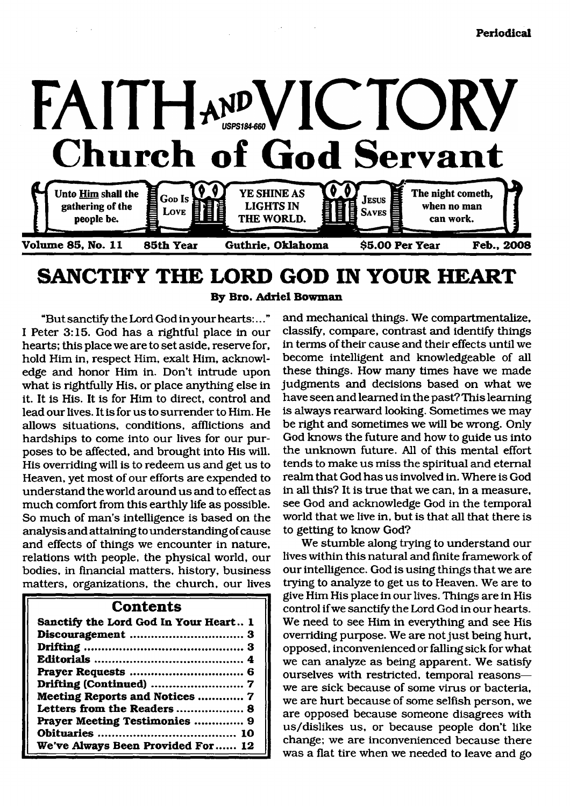

# **SANCTIFY THE LORD GOD IN YOUR HEART**

**By Bro. Adriel Bowman**

"But sanctify the Lord God in your hearts:..." I Peter 3:15. God has a rightful place in our hearts; this place we are to set aside, reserve for, hold Him in, respect Him, exalt Him, acknowledge and honor Him in. Don't intrude upon what is rightfully His, or place anything else in it. It is His. It is for Him to direct, control and lead our lives. It is for us to surrender to Him. He allows situations, conditions, afflictions and hardships to come into our lives for our purposes to be affected, and brought into His will. His overriding will is to redeem us and get us to Heaven, yet most of our efforts are expended to understand the world around us and to effect as much comfort from this earthly life as possible. So much of man's intelligence is based on the analysis and attaining to understanding of cause and effects of things we encounter in nature, relations with people, the physical world, our bodies, in financial matters, history, business matters, organizations, the church, our lives

## **Contents**

| Sanctify the Lord God In Your Heart 1 |
|---------------------------------------|
|                                       |
|                                       |
|                                       |
|                                       |
|                                       |
| Meeting Reports and Notices  7        |
| Letters from the Readers  8           |
| Prayer Meeting Testimonies  9         |
|                                       |
| We've Always Been Provided For 12     |

and mechanical things. We compartmentalize, classify, compare, contrast and identify things in terms of their cause and their effects until we become intelligent and knowledgeable of all these things. How many times have we made judgments and decisions based on what we have seen and learned in the past? This learning is always rearward looking. Sometimes we may be right and sometimes we will be wrong. Only God knows the future and how to guide us into the unknown future. All of this mental effort tends to make us miss the spiritual and eternal realm that God has us involved in. Where is God in all this? It is true that we can, in a measure, see God and acknowledge God in the temporal world that we live in, but is that all that there is to getting to know God?

We stumble along trying to understand our lives within this natural and finite framework of our intelligence. God is using things that we are trying to analyze to get us to Heaven. We are to give Him His place in our lives. Things are in His control if we sanctify the Lord God in our hearts. We need to see Him in everything and see His overriding purpose. We are not just being hurt, opposed, inconvenienced or falling sick for what we can analyze as being apparent. We satisfy ourselves with restricted, temporal reasons we are sick because of some virus or bacteria, we are hurt because of some selfish person, we are opposed because someone disagrees with us/dislikes us, or because people don't like change; we are inconvenienced because there was a flat tire when we needed to leave and go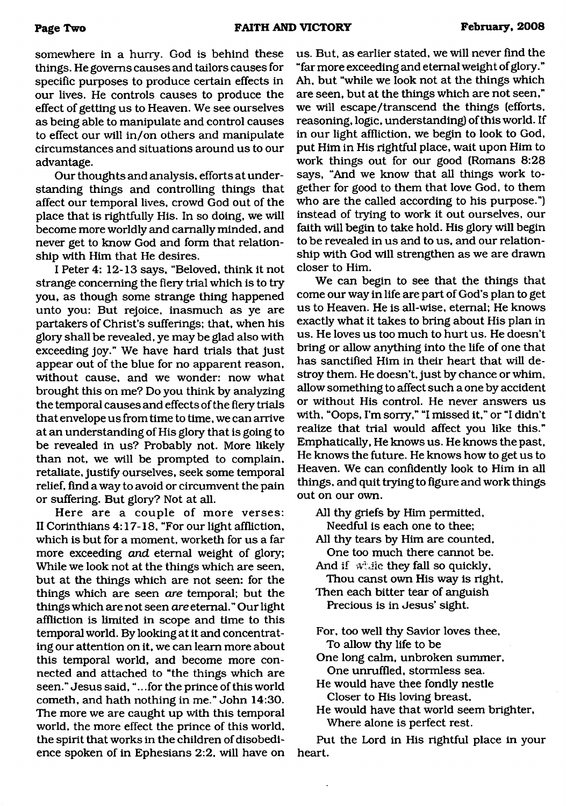somewhere in a hurry. God is behind these things. He governs causes and tailors causes for specific purposes to produce certain effects in our lives. He controls causes to produce the effect of getting us to Heaven. We see ourselves as being able to manipulate and control causes to effect our will in/on others and manipulate circumstances and situations around us to our advantage.

Our thoughts and analysis, efforts at understanding things and controlling things that affect our temporal lives, crowd God out of the place that is rightfully His. In so doing, we will become more worldly and carnally minded, and never get to know God and form that relationship with Him that He desires.

I Peter 4: 12-13 says, "Beloved, think it not strange concerning the fiery trial which is to try you, as though some strange thing happened unto you: But rejoice, inasmuch as ye are partakers of Christ's sufferings; that, when his glory shall be revealed, ye may be glad also with exceeding joy." We have hard trials that just appear out of the blue for no apparent reason, without cause, and we wonder: now what brought this on me? Do you think by analyzing the temporal causes and effects of the fiery trials that envelope us from time to time, we can arrive at an understanding of His glory that is going to be revealed in us? Probably not. More likely than not, we will be prompted to complain, retaliate, justify ourselves, seek some temporal relief, find a way to avoid or circumvent the pain or suffering. But glory? Not at all.

Here are a couple of more verses: II Corinthians 4:17-18, "For our light affliction, which is but for a moment, worketh for us a far more exceeding *and* eternal weight of glory; While we look not at the things which are seen, but at the things which are not seen: for the things which are seen *are* temporal; but the things which are not seen *are* eternal." Our light affliction is limited in scope and time to this temporal world. By looking at it and concentrating our attention on it, we can learn more about this temporal world, and become more connected and attached to "the things which are seen." Jesus said, ".. .for the prince of this world cometh, and hath nothing in me." John 14:30. The more we are caught up with this temporal world, the more effect the prince of this world, the spirit that works in the children of disobedience spoken of in Ephesians 2:2, will have on

us. But, as earlier stated, we will never find the "far more exceeding and eternal weight of glory." Ah, but "while we look not at the things which are seen, but at the things which are not seen," we will escape/transcend the things (efforts, reasoning, logic, understanding) of this world. If in our light affliction, we begin to look to God, put Him in His rightful place, wait upon Him to work things out for our good (Romans 8:28 says, "And we know that all things work together for good to them that love God, to them who are the called according to his purpose.") instead of trying to work it out ourselves, our faith will begin to take hold. His glory will begin to be revealed in us and to us, and our relationship with God will strengthen as we are drawn closer to Him.

We can begin to see that the things that come our way in life are part of God's plan to get us to Heaven. He is all-wise, eternal; He knows exactly what it takes to bring about His plan in us. He loves us too much to hurt us. He doesn't bring or allow anything into the life of one that has sanctified Him in their heart that will destroy them. He doesn't, just by chance or whim, allow something to affect such a one by accident or without His control. He never answers us with, "Oops, I'm sorry," "I missed it," or "I didn't realize that trial would affect you like this." Emphatically, He knows us. He knows the past, He knows the future. He knows how to get us to Heaven. We can confidently look to Him in all things, and quit trying to figure and work things out on our own.

All thy griefs by Him permitted,

Needful is each one to thee;

All thy tears by Him are counted. One too much there cannot be.

And if  $w^*$ , ile they fall so quickly,

Thou canst own His way is right. Then each bitter tear of anguish

Precious is in Jesus' sight.

For, too well thy Savior loves thee, To allow thy life to be

One long calm, unbroken summer. One unruffled, stormless sea.

He would have thee fondly nestle Closer to His loving breast.

He would have that world seem brighter, Where alone is perfect rest.

Put the Lord in His rightful place in your heart.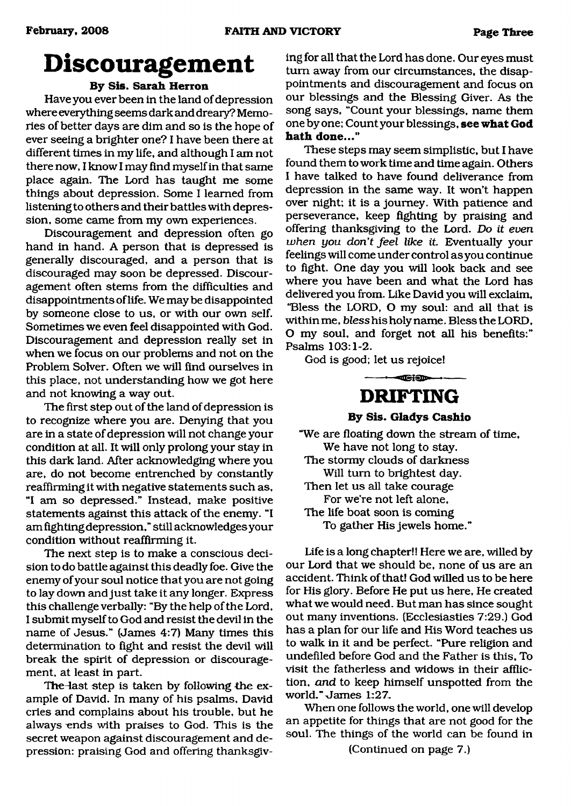# <span id="page-2-0"></span>**Discouragement**

# **By Sis. Sarah Herron**

Have you ever been in the land of depression where everything seems dark and dreary? Memories of better days are dim and so is the hope of ever seeing a brighter one? I have been there at different times in my life, and although I am not there now, I know I may find myself in that same place again. The Lord has taught me some things about depression. Some I learned from listening to others and their battles with depression, some came from my own experiences.

Discouragement and depression often go hand in hand. A person that is depressed is generally discouraged, and a person that is discouraged may soon be depressed. Discouragement often stems from the difficulties and disappointments of life. We maybe disappointed by someone close to us, or with our own self. Sometimes we even feel disappointed with God. Discouragement and depression really set in when we focus on our problems and not on the Problem Solver. Often we will find ourselves in this place, not understanding how we got here and not knowing a way out.

The first step out of the land of depression is to recognize where you are. Denying that you are in a state of depression will not change your condition at all. It will only prolong your stay in this dark land. After acknowledging where you are, do not become entrenched by constantly reaffirming it with negative statements such as, "I am so depressed." Instead, make positive statements against this attack of the enemy. "I am fighting depression," still acknowledges your condition without reaffirming it.

The next step is to make a conscious decision to do battle against this deadly foe. Give the enemy of your soul notice that you are not going to lay down and just take it any longer. Express this challenge verbally: "By the help of the Lord, I submit myself to God and resist the devil in the name of Jesus." (James 4:7) Many times this determination to fight and resist the devil will break the spirit of depression or discouragement, at least in part.

The-last step is taken by following the example of David. In many of his psalms, David cries and complains about his trouble, but he always ends with praises to God. This is the secret weapon against discouragement and depression: praising God and offering thanksgiving for all that the Lord has done. Our eyes must turn away from our circumstances, the disappointments and discouragement and focus on our blessings and the Blessing Giver. As the song says, "Count your blessings, name them one by one; Count your blessings, **see what God hath done..."**

These steps may seem simplistic, but I have found them to work time and time again. Others I have talked to have found deliverance from depression in the same way. It won't happen over night; it is a journey. With patience and perseverance, keep fighting by praising and offering thanksgiving to the Lord. *Do it even when you don't feel like it.* Eventually your feelings will come under control as you continue to fight. One day you will look back and see where you have been and what the Lord has delivered you from. Like David you will exclaim, 'Bless the LORD, O my soul: and all that is within me, *bless* his holy name. Bless the LORD, O my soul, and forget not all his benefits:" Psalms 103:1-2.

<span id="page-2-1"></span>God is good; let us rejoice!

**DRIFTING**

 $-$ -- $-$ 

**By Sis. Gladys Cashio**

"We are floating down the stream of time, We have not long to stay. The stormy clouds of darkness Will turn to brightest day. Then let us all take courage For we're not left alone, The life boat soon is coming To gather His jewels home."

Life is a long chapter!! Here we are, willed by our Lord that we should be, none of us are an accident. Think of that! God willed us to be here for His glory. Before He put us here, He created what we would need. But man has since sought out many inventions. (Ecclesiastics 7:29.) God has a plan for our life and His Word teaches us to walk in it and be perfect. "Pure religion and undefiled before God and the Father is this. To visit the fatherless and widows in their affliction, *and* to keep himself unspotted from the world." James 1:27.

When one follows the world, one will develop an appetite for things that are not good for the soul. The things of the world can be found in

(Continued on page 7.)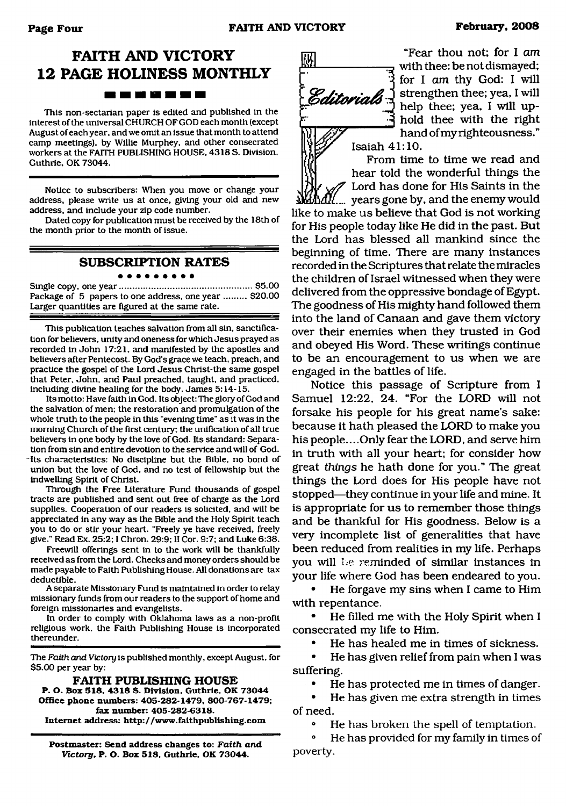# **FAITH AND VICTORY 12 PAGE HOLINESS MONTHLY** ------

This non-sectarian paper is edited and published in the interest of the universal CHURCH OF GOD each month (except August of each year, and we omit an issue that month to attend camp meetings), by Willie Murphey, and other consecrated workers at the FAITH PUBLISHING HOUSE, 4318 S. Division, Guthrie. OK 73044.

Notice to subscribers: When you move or change your address, please write us at once, giving your old and new address, and include your zip code number.

Dated copy for publication must be received by the 18th of the month prior to the month of issue.

#### **SUBSCRIPTION RATES** . . . . . . . . .

Single copy, one year..................................................... \$5.00 Package of 5 papers to one address, one year ......... \$20.00 Larger quantities are figured at the same rate.

This publication teaches salvation from all sin, sanctification for believers, unity and oneness for which Jesus prayed as recorded in John 17:21, and manifested by the apostles and believers after Pentecost. By God's grace we teach, preach, and practice the gospel of the Lord Jesus Christ-the same gospel that Peter, John, and Paul preached, taught, and practiced, including divine healing for the body. James 5:14-15.

Its motto: Have faith in God. Its object: The glory of God and the salvation of men: the restoration and promulgation of the whole truth to the people in this "evening time" as it was in the morning Church of the first century; the unification of all true believers in one body by the love of God. Its standard: Separation from sin and entire devotion to the service and will of God. ~Its characteristics: No discipline but the Bible, no bond of union but the love of God, and no test of fellowship but the indwelling Spirit of Christ.

Through the Free Literature Fund thousands of gospel tracts are published and sent out free of charge as the Lord supplies. Cooperation of our readers is solicited, and will be appreciated in any way as the Bible and the Holy Spirit teach you to do or stir your heart. "Freely ye have received, freely give." Read Ex. 25:2:1 Chron. 29:9: II Cor. 9:7; and Luke 6:38.

Freewill offerings sent in to the work will be thankfully received as from the Lord. Checks and money orders should be made payable to Faith Publishing House. All donations are tax deductible.

A separate Missionary Fund is maintained in order to relay missionary funds from our readers to the support of home and foreign missionaries and evangelists.

In order to comply with Oklahoma laws as a non-profit religious work, the Faith Publishing House is incorporated thereunder.

The *Faith and Victory* is published monthly, except August, for \$5.00 per year by:

#### **FAITH PUBLISHING HOUSE**

**P. O. Box 518, 4318 S. Division, Guthrie. OK 73044 Office phone numbers: 405-282-1479. 800-767-1479; fax number: 405-282-6318. Internet address: <http://www.faithpublishing.com>**

**Postmaster: Send address changes to:** *Faith and Victory,* **P. O. Box 518, Guthrie, OK 73044.**



"Fear thou not; for I *am* with thee: be not dismayed; for I am thy God: I will **i** *is ditavial* J strengthen thee; yea, I will  $\sum_{i=1}^{\infty}$  help thee; yea, I will uphold thee with the right hand of my righteousness."

From time to time we read and hear told the wonderful things the Lord has done for His Saints in the *\b±L*... years gone by, and the enemy would like to make us believe that God is not working for His people today like He did in the past. But the Lord has blessed all mankind since the beginning of time. There are many instances recorded in the Scriptures that relate the miracles the children of Israel witnessed when they were delivered from the oppressive bondage of Egypt. The goodness of His mighty hand followed them into the land of Canaan and gave them victory over their enemies when they trusted in God and obeyed His Word. These writings continue to be an encouragement to us when we are engaged in the battles of life.

Notice this passage of Scripture from I Samuel 12:22, 24. "For the LORD will not forsake his people for his great name's sake: because it hath pleased the LORD to make you his people... .Only fear the LORD, and serve him in truth with all your heart; for consider how great *things* he hath done for you." The great things the Lord does for His people have not stopped—they continue in your life and mine. It is appropriate for us to remember those things and be thankful for His goodness. Below is a very incomplete list of generalities that have been reduced from realities in my life. Perhaps you will l.e reminded of similar instances in your life where God has been endeared to you.

• He forgave my sins when I came to Him with repentance.

• He filled me with the Holy Spirit when I consecrated my life to Him.

• He has healed me in times of sickness.

• He has given relief from pain when I was suffering.

• He has protected me in times of danger.

• He has given me extra strength in times of need.

He has broken the spell of temptation.

° He has provided for my family in times of poverty.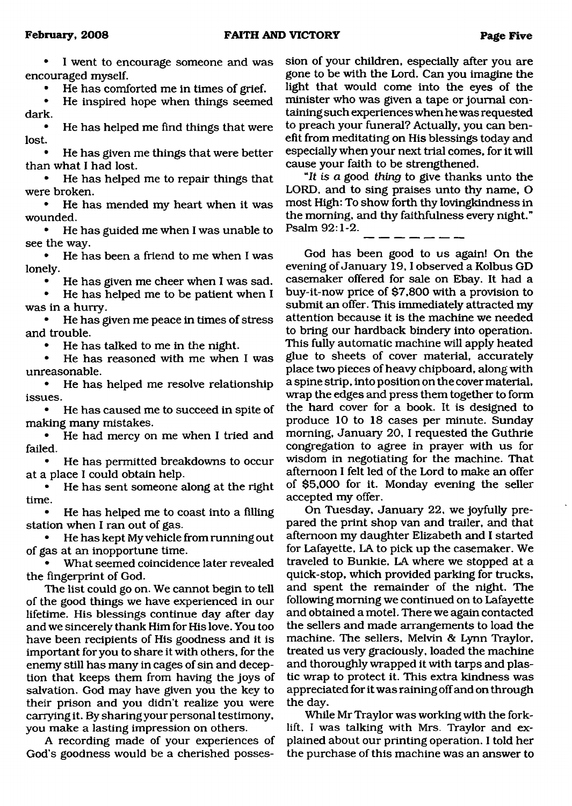I went to encourage someone and was encouraged myself.

• He has comforted me in times of grief.

He inspired hope when things seemed dark.

• He has helped me find things that were lost.

• He has given me things that were better than what I had lost.

• He has helped me to repair things that were broken.

• He has mended my heart when it was wounded.

• He has guided me when I was unable to see the way.

• He has been a friend to me when I was lonely.

• He has given me cheer when I was sad.

He has helped me to be patient when I was in a hurry.

• He has given me peace in times of stress and trouble.

• He has talked to me in the night.

He has reasoned with me when I was unreasonable.

• He has helped me resolve relationship issues.

• He has caused me to succeed in spite of making many mistakes.

He had mercy on me when I tried and failed.

• He has permitted breakdowns to occur at a place I could obtain help.

• He has sent someone along at the right time.

• He has helped me to coast into a filling station when I ran out of gas.

• He has kept My vehicle from running out of gas at an inopportune time.

• What seemed coincidence later revealed the fingerprint of God.

The list could go on. We cannot begin to tell of the good things we have experienced in our lifetime. His blessings continue day after day and we sincerely thank Him for His love. You too have been recipients of His goodness and it is important for you to share it with others, for the enemy still has many in cages of sin and deception that keeps them from having the joys of salvation. God may have given you the key to their prison and you didn't realize you were carrying it. By sharing your personal testimony, you make a lasting impression on others.

A recording made of your experiences of God's goodness would be a cherished possession of your children, especially after you are gone to be with the Lord. Can you imagine the light that would come into the eyes of the minister who was given a tape or journal containing such experiences when he was requested to preach your funeral? Actually, you can benefit from meditating on His blessings today and especially when your next trial comes, for it will cause your faith to be strengthened.

"ft *is a* good *thing* to give thanks unto the LORD, and to sing praises unto thy name, O most High: To show forth thy lovingkindness in the morning, and thy faithfulness every night." Psalm 92:1-2.

God has been good to us again! On the evening of January 19,1 observed a Kolbus GD casemaker offered for sale on Ebay. It had a buy-it-now price of \$7,800 with a provision to submit an offer. This immediately attracted my attention because it is the machine we needed to bring our hardback bindery into operation. This fully automatic machine will apply heated glue to sheets of cover material, accurately place two pieces of heavy chipboard, along with a spine strip, into position on the cover material, wrap the edges and press them together to form the hard cover for a book. It is designed to produce 10 to 18 cases per minute. Sunday morning, January 20, I requested the Guthrie congregation to agree in prayer with us for wisdom in negotiating for the machine. That afternoon I felt led of the Lord to make an offer of \$5,000 for it. Monday evening the seller accepted my offer.

On Tuesday, January 22, we joyfully prepared the print shop van and trailer, and that afternoon my daughter Elizabeth and I started for Lafayette, LA to pick up the casemaker. We traveled to Bunkie, LA where we stopped at a quick-stop, which provided parking for trucks, and spent the remainder of the night. The following morning we continued on to Lafayette and obtained a motel. There we again contacted the sellers and made arrangements to load the machine. The sellers, Melvin & Lynn Traylor, treated us very graciously, loaded the machine and thoroughly wrapped it with tarps and plastic wrap to protect it. This extra kindness was appreciated for it was raining off and on through the day.

While Mr Traylor was working with the forklift, I was talking with Mrs. Traylor and explained about our printing operation. I told her the purchase of this machine was an answer to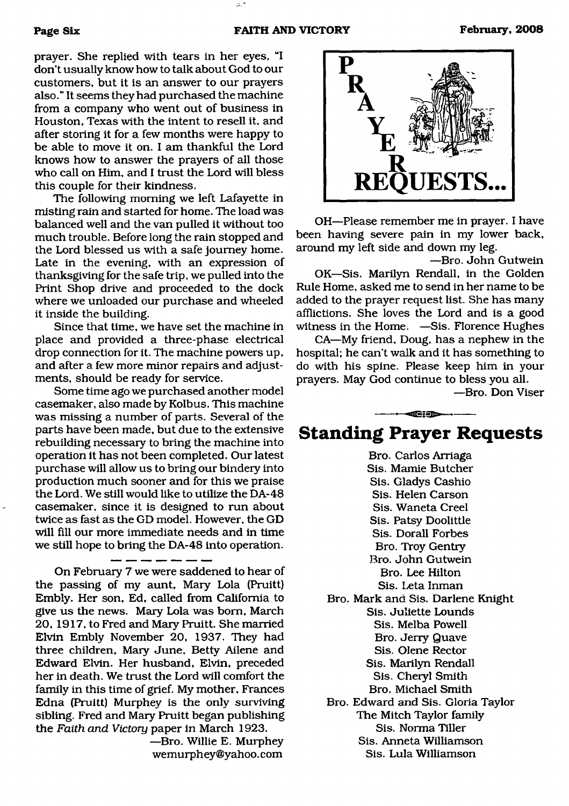prayer. She replied with tears in her eyes, "I don't usually know how to talk about God to our customers, but it is an answer to our prayers also." It seems they had purchased the machine from a company who went out of business in Houston, Texas with the intent to resell it, and after storing it for a few months were happy to be able to move it on. I am thankful the Lord knows how to answer the prayers of all those who call on Him, and I trust the Lord will bless this couple for their kindness.

The following morning we left Lafayette in misting rain and started for home. The load was balanced well and the van pulled it without too much trouble. Before long the rain stopped and the Lord blessed us with a safe journey home. Late in the evening, with an expression of thanksgiving for the safe trip, we pulled into the Print Shop drive and proceeded to the dock where we unloaded our purchase and wheeled it inside the building.

Since that time, we have set the machine in place and provided a three-phase electrical drop connection for it. The machine powers up, and after a few more minor repairs and adjustments, should be ready for service.

Some time ago we purchased another model casemaker, also made by Kolbus. This machine was missing a number of parts. Several of the parts have been made, but due to the extensive rebuilding necessary to bring the machine into operation it has not been completed. Our latest purchase will allow us to bring our bindery into production much sooner and for this we praise the Lord. We still would like to utilize the DA-48 casemaker, since it is designed to run about twice as fast as the GD model. However, the GD will fill our more immediate needs and in time we still hope to bring the DA-48 into operation.

On February 7 we were saddened to hear of the passing of my aunt, Mary Lola (Pruitt) Embly. Her son, Ed, called from California to give us the news. Mary Lola was bom, March 20, 1917, to Fred and Mary Pruitt. She married Elvin Embly November 20, 1937. They had three children, Mary June, Betty Ailene and Edward Elvin. Her husband, Elvin, preceded her in death. We trust the Lord will comfort the family in this time of grief. My mother, Frances Edna (Pruitt) Murphey is the only surviving sibling. Fred and Mary Pruitt began publishing the *Faith and Victory* paper in March 1923.

 $-$ 

—Bro. Willie E. Murphey [wemurphey@yahoo.com](mailto:wemurphey@yahoo.com)



OH—Please remember me in prayer. I have been having severe pain in my lower back, around my left side and down my leg.

—Bro. John Gutwein OK—Sis. Marilyn Rendall, in the Golden Rule Home, asked me to send in her name to be added to the prayer request list. She has many afflictions. She loves the Lord and is a good

witness in the Home. —Sis. Florence Hughes CA—My friend, Doug, has a nephew in the hospital; he can't walk and it has something to do with his spine. Please keep him in your prayers. May God continue to bless you all.

—Bro. Don Viser

# $-$ **Standing Prayer Requests**

Bro. Carlos Arriaga Sis. Mamie Butcher Sis. Gladys Cashio Sis. Helen Carson Sis. Waneta Creel Sis. Patsy Doolittle Sis. Dorall Forbes Bro. Troy Gentry Bro. John Gutwein Bro. Lee Hilton Sis. Leta Inman Bro. Mark and Sis. Darlene Knight Sis. Juliette Lounds Sis. Melba Powell Bro. Jerry Quave Sis. Olene Rector Sis. Marilyn Rendall Sis. Cheryl Smith Bro. Michael Smith Bro. Edward and Sis. Gloria Taylor The Mitch Taylor family Sis. Norma Tiller Sis. Anneta Williamson Sis. Lula Williamson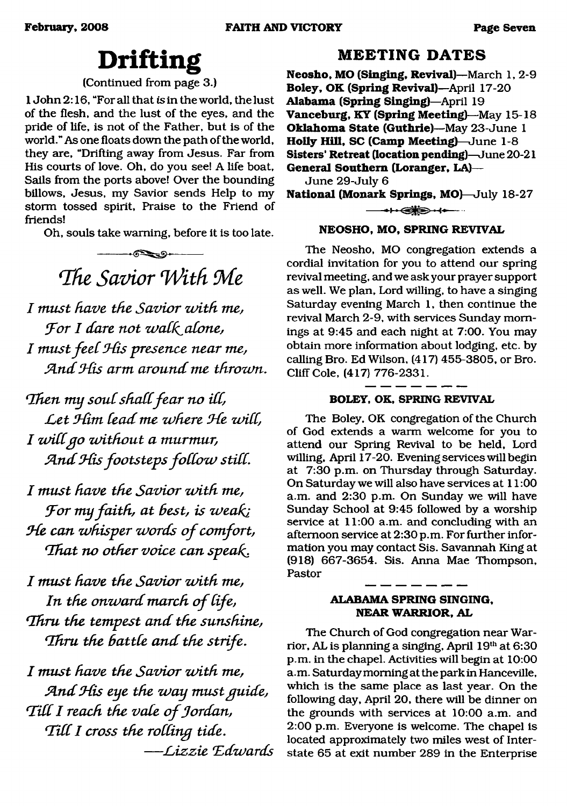# **Drifting**

# (Continued from page 3.)

1 John 2:16, "For all that *is* in the world, the lust of the flesh, and the lust of the eyes, and the pride of life, is not of the Father, but is of the world." As one floats down the path of the world, they are, "Drifting away from Jesus. Far from His courts of love. Oh, do you see! A life boat, Sails from the ports above! Over the bounding billows, Jesus, my Savior sends Help to my storm tossed spirit, Praise to the Friend of friends!

Oh, souls take warning, before it is too late.

 $-6$ *fIhe Savior With Me*

*I must have the Savior zoith me, For I dare not walk alone, I mustfeeCSds presence near me, Sind SCis arm around me throzvn*.

Then my soul shall fear no ill, Let Him lead me where He will, *I zodCgo without a murmur,* And His footsteps follow still.

*I must have the Savior zoith me, S'or my faith, at Best, is weahi He can whisper words of comfort, 'That no other voice can speah.*

*I must have the Savior zoith me,* In the onward march of life, *'Thru the tempest and the sunshine, 'Thru the Battle and the strife*.

*I must have the Savior zoith me, STnd 9-fas eye the way must guide,* Till I reach the vale of Jordan, Till I cross the rolling tide. *— L izz ie Ldwards*

# **M EETING DATES**

**Neosho, MO (Singing, Revival)**—March 1, 2-9 **Boley, OK (Spring Revival)**—April 17-20 **Alabama (Spring Singing)**—April 19 **Vanceburg, KY (Spring Meeting)**—May 15-18 **Oklahoma State (Guthrie)**—May 23-June 1 **Holly Hill, SC (Camp Meeting)**—June 1-8 **Sisters' Retreat (location pending)**—June 20-21 **General Southern (Loranger, LA)—** June 29-July 6 **National (Monark Springs, MO)**—July 18-27

----«> ■ ----

### **NEOSHO, MO, SPRING REVIVAL**

The Neosho, MO congregation extends a cordial invitation for you to attend our spring revival meeting, and we ask your prayer support as well. We plan, Lord willing, to have a singing Saturday evening March 1, then continue the revival March 2-9, with services Sunday mornings at 9:45 and each night at 7:00. You may obtain more information about lodging, etc. by calling Bro. Ed Wilson, (417) 455-3805, or Bro. Cliff Cole, (417) 776-2331.

## **BOLEY. OK, SPRING REVIVAL**

 $\overline{\phantom{a}}$  and  $\overline{\phantom{a}}$  and  $\overline{\phantom{a}}$ 

The Boley, OK congregation of the Church of God extends a warm welcome for you to attend our Spring Revival to be held, Lord willing, April 17-20. Evening services will begin at 7:30 p.m. on Thursday through Saturday. On Saturday we will also have services at 11:00 a.m. and 2:30 p.m. On Sunday we will have Sunday School at 9:45 followed by a worship service at 11:00 a.m. and concluding with an afternoon service at 2:30 p.m. For further information you may contact Sis. Savannah King at (918) 667-3654. Sis. Anna Mae Thompson, Pastor

## **ALABAMA SPRING SINGING, NEAR WARRIOR, AL**

The Church of God congregation near Warrior, AL is planning a singing, April 19th at 6:30 p.m. in the chapel. Activities will begin at 10:00 a.m. Saturday morning at the park in Hanceville, which is the same place as last year. On the following day, April 20, there will be dinner on the grounds with services at 10:00 a.m. and 2:00 p.m. Everyone is welcome. The chapel is located approximately two miles west of Interstate 65 at exit number 289 in the Enterprise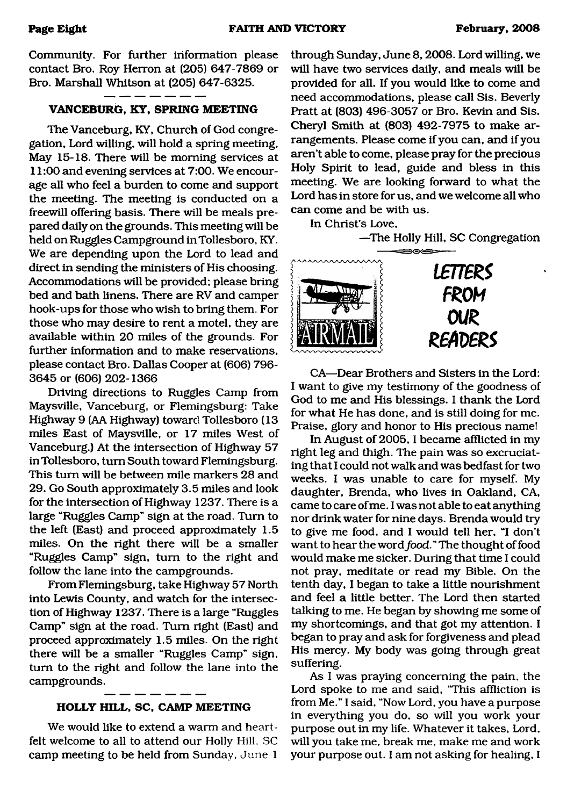Community. For further information please contact Bro. Roy Herron at (205) 647-7869 or Bro. Marshall Whitson at (205) 647-6325.

# **VANCEBURG, KY, SPRING MEETING**

The Vanceburg, KY, Church of God congregation, Lord willing, will hold a spring meeting. May 15-18. There will be morning services at 11:00 and evening services at 7:00. We encourage all who feel a burden to come and support the meeting. The meeting is conducted on a freewill offering basis. There will be meals prepared daily on the grounds. This meeting will be held on Ruggles Campground inTollesboro, KY. We are depending upon the Lord to lead and direct in sending the ministers of His choosing. Accommodations will be provided; please bring bed and bath linens. There are RV and camper hook-ups for those who wish to bring them. For those who may desire to rent a motel, they are available within 20 miles of the grounds. For further information and to make reservations, please contact Bro. Dallas Cooper at (606) 796- 3645 or (606) 202-1366

Driving directions to Ruggles Camp from Maysville, Vanceburg, or Flemingsburg: Take Highway 9 (AA Highway) toward Tollesboro (13 miles East of Maysville, or 17 miles West of Vanceburg.) At the intersection of Highway 57 inTollesboro, turn South toward Flemingsburg. This turn will be between mile markers 28 and 29. Go South approximately 3.5 miles and look for the intersection of Highway 1237. There is a large "Ruggles Camp" sign at the road. Turn to the left (East) and proceed approximately 1.5 miles. On the right there will be a smaller "Ruggles Camp" sign, turn to the right and follow the lane into the campgrounds.

From Flemingsburg, take Highway 57 North into Lewis County, and watch for the intersection of Highway 1237. There is a large "Ruggles Camp" sign at the road. Turn right (East) and proceed approximately 1.5 miles. On the right there will be a smaller "Ruggles Camp" sign, turn to the right and follow the lane into the campgrounds.

## **HOLLY HILL, SC, CAMP MEETING**

We would like to extend a warm and heartfelt welcome to all to attend our Holly Hill. SC camp meeting to be held from Sunday. June 1

through Sunday, June 8,2008. Lord willing, we will have two services daily, and meals will be provided for all. If you would like to come and need accommodations, please call Sis. Beverly Pratt at (803) 496-3057 or Bro. Kevin and Sis. Cheryl Smith at (803) 492-7975 to make arrangements. Please come if you can, and if you aren't able to come, please pray for the precious Holy Spirit to lead, guide and bless in this meeting. We are looking forward to what the Lord has in store for us, and we welcome all who can come and be with us.

In Christ's Love,

—The Holly Hill, SC Congregation



CA—Dear Brothers and Sisters in the Lord: I want to give my testimony of the goodness of God to me and His blessings. I thank the Lord for what He has done, and is still doing for me. Praise, glory and honor to His precious name!

In August of 2005, I became afflicted in my right leg and thigh. The pain was so excruciating that I could not walk and was bedfast for two weeks. I was unable to care for myself. My daughter, Brenda, who lives in Oakland, CA, came to care of me. I was not able to eat anything nor drink water for nine days. Brenda would try to give me food, and I would tell her, "I don't want to hear the word *food."* The thought of food would make me sicker. During that time I could not pray, meditate or read my Bible. On the tenth day, I began to take a little nourishment and feel a little better. The Lord then started talking to me. He began by showing me some of my shortcomings, and that got my attention. I began to pray and ask for forgiveness and plead His mercy. My body was going through great suffering.

As I was praying concerning the pain, the Lord spoke to me and said, "This affliction is from Me." I said, "Now Lord, you have a purpose in everything you do, so will you work your purpose out in my life. Whatever it takes, Lord, will you take me, break me, make me and work your purpose out. I am not asking for healing, I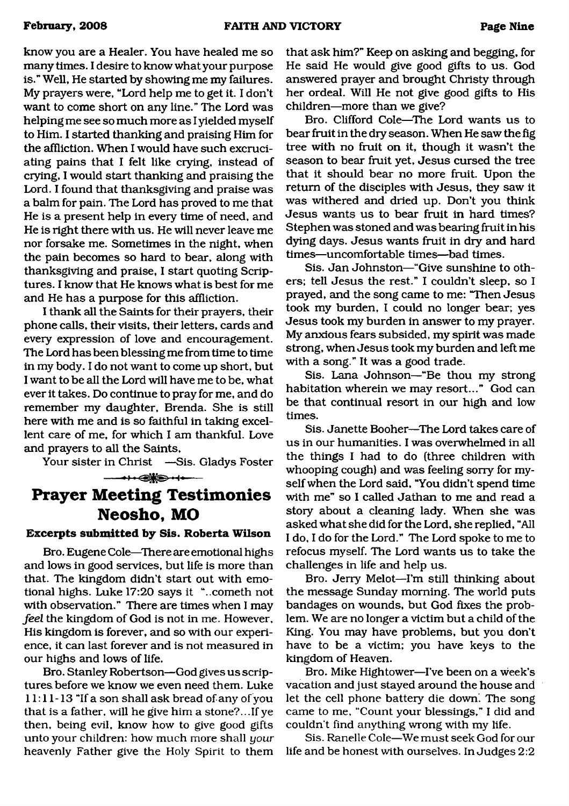know you are a Healer. You have healed me so many times. I desire to know what your purpose is." Well, He started by showing me my failures. My prayers were, "Lord help me to get it. I don't want to come short on any line." The Lord was helping me see so much more as I yielded myself to Him. I started thanking and praising Him for the affliction. When I would have such excruciating pains that I felt like crying, instead of crying, I would start thanking and praising the Lord. I found that thanksgiving and praise was a balm for pain. The Lord has proved to me that He is a present help in every time of need, and He is right there with us. He will never leave me nor forsake me. Sometimes in the night, when the pain becomes so hard to bear, along with thanksgiving and praise, I start quoting Scriptures. I know that He knows what is best for me and He has a purpose for this affliction.

I thank all the Saints for their prayers, their phone calls, their visits, their letters, cards and every expression of love and encouragement. The Lord has been blessing me from time to time in my body. I do not want to come up short, but I want to be all the Lord will have me to be, what ever it takes. Do continue to pray for me, and do remember my daughter, Brenda. She is still here with me and is so faithful in taking excellent care of me, for which I am thankful. Love and prayers to all the Saints,

Your sister in Christ —Sis. Gladys Foster

**— ■i .aiKB' . i.—**

# **Prayer Meeting Testimonies Neosho, MO**

#### **Excerpts submitted by Sis. Roberta Wilson**

Bro. Eugene Cole—There are emotional highs and lows in good services, but life is more than that. The kingdom didn't start out with emotional highs. Luke 17:20 says it "..cometh not with observation." There are times when I may *feel* the kingdom of God is not in me. However, His kingdom is forever, and so with our experience, it can last forever and is not measured in our highs and lows of life.

Bro. Stanley Robertson—God gives us scriptures. before we know we even need them. Luke 11:11-13 "If a son shall ask bread of any of you that is a father, will he give him a stone?...If ye then, being evil, know how to give good gifts unto your children: how much more shall *your* heavenly Father give the Holy Spirit to them that ask him?" Keep on asking and begging, for He said He would give good gifts to us. God answered prayer and brought Christy through her ordeal. Will He not give good gifts to His children—more than we give?

Bro. Clifford Cole—The Lord wants us to bear fruit in the dry season. When He saw the fig tree with no fruit on it, though it wasn't the season to bear fruit yet, Jesus cursed the tree that it should bear no more fruit. Upon the return of the disciples with Jesus, they saw it was withered and dried up. Don't you think Jesus wants us to bear fruit in hard times? Stephen was stoned and was bearing fruit in his dying days. Jesus wants fruit in dry and hard times—uncomfortable times—bad times.

Sis. Jan Johnston—"Give sunshine to others; tell Jesus the rest." I couldn't sleep, so I prayed, and the song came to me: "Then Jesus took my burden, I could no longer bear; yes Jesus took my burden in answer to my prayer. My anxious fears subsided, my spirit was made strong, when Jesus took my burden and left me with a song." It was a good trade.

Sis. Lana Johnson—"Be thou my strong habitation wherein we may resort..." God can be that continual resort in our high and low times.

Sis. Janette Booher—The Lord takes care of us in our humanities. I was overwhelmed in all the things I had to do (three children with whooping cough) and was feeling sorry for myself when the Lord said, "You didn't spend time with me" so I called Jathan to me and read a story about a cleaning lady. When she was asked what she did for the Lord, she replied, "All I do, I do for the Lord." The Lord spoke to me to refocus myself. The Lord wants us to take the challenges in life and help us.

Bro. Jerry Melot—I'm still thinking about the message Sunday morning. The world puts bandages on wounds, but God fixes the problem. We are no longer a victim but a child of the King. You may have problems, but you don't have to be a victim; you have keys to the kingdom of Heaven.

Bro. Mike Hightower—I've been on a week's vacation and just stayed around the house and let the cell phone battery die down'. The song came to me, "Count your blessings," I did and couldn't find anything wrong with my life.

Sis. Ranelle Cole—We must seek God for our life and be honest with ourselves. In Judges 2:2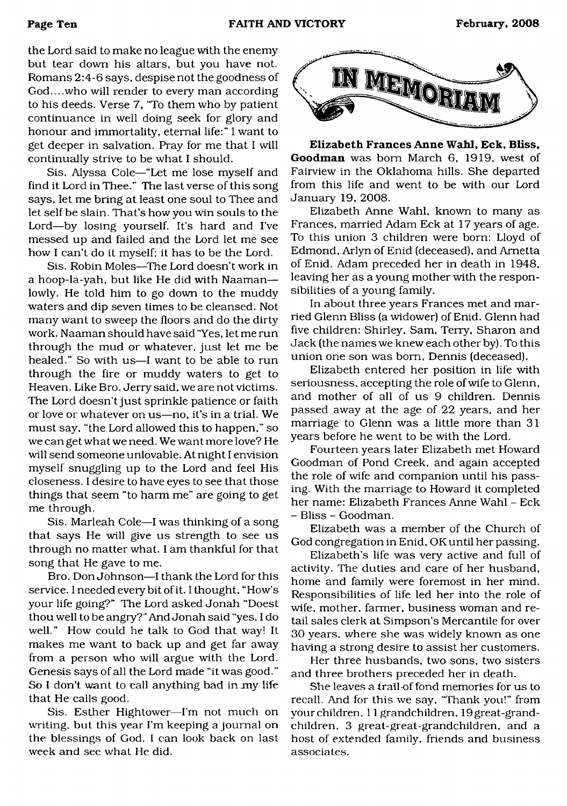the Lord said to make no league with the enemy but tear down his altars, but you have not. Romans 2:4-6 says, despise not the goodness of God....who will render to every man according to his deeds. Verse 7, "To them who by patient continuance in well doing seek for glory and honour and immortality, eternal life:" I want to get deeper in salvation. Pray for me that I will continually strive to be what I should.

Sis. Alyssa Cole—"Let me lose myself and find it Lord in Thee." The last verse of this song says, let me bring at least one soul to Thee and let self be slain. That's how you win souls to the Lord—by losing yourself. It's hard and I've messed up and failed and the Lord let me see how I can't do it myself; it has to be the Lord.

Sis. Robin Moles—The Lord doesn't work in a hoop-la-yah, but like He did with Naaman lowly. He told him to go down to the muddy waters and dip seven times to be cleansed. Not many want to sweep the floors and do the dirty work. Naaman should have said "Yes, let me run through the mud or whatever, just let me be healed." So with us—I want to be able to run through the fire or muddy waters to get to Heaven. Like Bro. Jerry said, we are not victims. The Lord doesn't just sprinkle patience or faith or love or whatever on us—no, it's in a trial. We must say, "the Lord allowed this to happen," so we can get what we need. We want more love? He will send someone unlovable. At night I envision myself snuggling up to the Lord and feel His closeness. I desire to have eyes to see that those things that seem "to harm me" are going to get me through.

Sis. Marleah Cole—I was thinking of a song that says He will give us strength to see us through no matter what. I am thankful for that song that He gave to me.

Bro. Don Johnson—I thank the Lord for this service. I needed every bit of it. I thought, "How's your life going?" The Lord asked Jonah "Doest thou well to be angry?" And Jonah said "yes, I do well." How could he talk to God that way! It makes me want to back up and get far away from a person who will argue with the Lord. Genesis says of all the Lord made "it was good." So I don't want to call anything bad in  $my$  life that He calls good.

Sis. Esther Hightower—I'm not much on writing, but this year I'm keeping a journal on the blessings of God. I can look back on last week and see what He did.



**Elizabeth Frances Anne Wahl, Eck, Bliss, Goodman** was bom March 6, 1919, west of Fairview in the Oklahoma hills. She departed from this life and went to be with our Lord January 19, 2008.

Elizabeth Anne Wahl, known to many as Frances, married Adam Eck at 17 years of age. To this union 3 children were born: Lloyd of Edmond, Arlyn of Enid (deceased), and Ametta of Enid. Adam preceded her in death in 1948, leaving her as a young mother with the responsibilities of a young family.

In about three years Frances met and married Glenn Bliss (a widower) of Enid. Glenn had five children: Shirley, Sam, Terry, Sharon and Jack (the names we knew each other by). To this union one son was bom, Dennis (deceased).

Elizabeth entered her position in life with seriousness, accepting the role of wife to Glenn, and mother of all of us 9 children. Dennis passed away at the age of 22 years, and her marriage to Glenn was a little more than 31 years before he went to be with the Lord.

Fourteen years later Elizabeth met Howard Goodman of Pond Creek, and again accepted the role of wife and companion until his passing. With the marriage to Howard it completed her name: Elizabeth Frances Anne Wahl - Eck - Bliss - Goodman.

Elizabeth was a member of the Church of God congregation in Enid, OK until her passing.

Elizabeth's life was very active and full of activity. The duties and care of her husband, home and family were foremost in her mind. Responsibilities of life led her into the role of wife, mother, farmer, business woman and retail sales clerk at Simpson's Mercantile for over 30 years, where she was widely known as one having a strong desire to assist her customers.

Her three husbands, two sons, two sisters and three brothers preceded her in death.

She leaves a trail-of fond memories for us to recall. And for this we say. "Thank you!" from your children, 11 grandchildren, 19 great-grandchildren, 3 great-great-grandchildren, and a host of extended family, friends and business associates.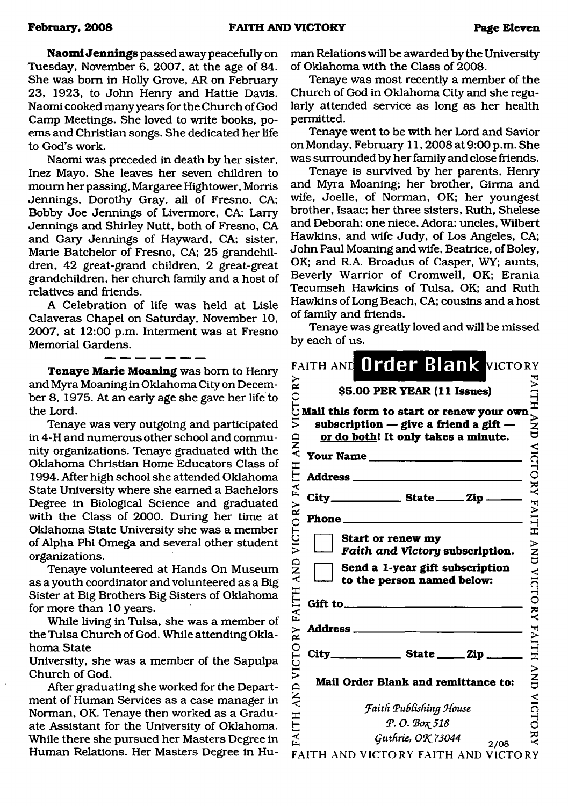**Naomi Jennings** passed away peacefully on Tuesday, November 6, 2007, at the age of 84. She was bom in Holly Grove, AR on February 23, 1923, to John Henry and Hattie Davis. Naomi cooked many years for the Church of God Camp Meetings. She loved to write books, poems and Christian songs. She dedicated her life to God's work.

Naomi was preceded in death by her sister, Inez Mayo. She leaves her seven children to mourn her passing, Margaree Hightower, Morris Jennings, Dorothy Gray, all of Fresno, CA; Bobby Joe Jennings of Livermore, CA; Larry Jennings and Shirley Nutt, both of Fresno, CA and Gary Jennings of Hayward, CA; sister, Marie Batchelor of Fresno, CA; 25 grandchildren, 42 great-grand children, 2 great-great grandchildren, her church family and a host of relatives and friends.

A Celebration of life was held at Lisle Calaveras Chapel on Saturday, November 10, 2007, at 12:00 p.m. Interment was at Fresno Memorial Gardens.

**Tenaye Marie Moaning** was bom to Henry and Myra Moaning in Oklahoma City on December 8, 1975. At an early age she gave her life to the Lord.

Tenaye was very outgoing and participated in 4-H and numerous other school and community organizations. Tenaye graduated with the Oklahoma Christian Home Educators Class of 1994. After high school she attended Oklahoma State University where she earned a Bachelors Degree in Biological Science and graduated with the Class of 2000. During her time at Oklahoma State University she was a member of Alpha Phi Omega and several other student organizations.

Tenaye volunteered at Hands On Museum as a youth coordinator and volunteered as a Big Sister at Big Brothers Big Sisters of Oklahoma for more than 10 years.

While living in Tulsa, she was a member of the Tulsa Church of God. While attending Oklahoma State

University, she was a member of the Sapulpa Church of God.

After graduating she worked for the Department of Human Services as a case manager in Norman, OK. Tenaye then worked as a Graduate Assistant for the University of Oklahoma. While there she pursued her Masters Degree in Human Relations. Her Masters Degree in Human Relations will be awarded by the University of Oklahoma with the Class of 2008.

Tenaye was most recently a member of the Church of God in Oklahoma City and she regularly attended service as long as her health permitted.

Tenaye went to be with her Lord and Savior on Monday, February 11,2008 at 9:00 p.m. She was surrounded by her family and close friends.

Tenaye is survived by her parents, Henry and Myra Moaning; her brother, Girma and wife, Joelle, of Norman, OK; her youngest brother, Isaac; her three sisters, Ruth, Shelese and Deborah; one niece, Adora; uncles, Wilbert Hawkins, and wife Judy, of Los Angeles, CA; John Paul Moaning and wife, Beatrice, of Boley, OK; and R.A. Broadus of Casper, WY; aunts, Beverly Warrior of Cromwell, OK; Erania Tecumseh Hawkins of Tulsa, OK; and Ruth Hawkins of Long Beach, CA; cousins and a host of family and friends.

Tenaye was greatly loved and will be missed by each of us.

|                        | FAITH AND Order Blank VICTORY                                                                                                                                                      |                      |
|------------------------|------------------------------------------------------------------------------------------------------------------------------------------------------------------------------------|----------------------|
| RY                     | \$5.00 PER YEAR (11 Issues)                                                                                                                                                        | AITH                 |
| ⋝<br><b>QNA</b>        | $\circ$ obtains the contract of the space of $\circ$ Mail this form to start or renew your own<br>subscription $-$ give a friend a gift $-$<br>or do both! It only takes a minute. |                      |
| EЦ                     | Your Name                                                                                                                                                                          | VICTO                |
| ĹÅ                     | <b>Address</b> ________<br>the company of the company of<br>City_____________________ State ________ Zip.                                                                          | $\check{\mathbf{z}}$ |
|                        |                                                                                                                                                                                    | FAITH                |
| VICTORY                | Start or renew my<br>Faith and Victory subscription.                                                                                                                               | <b>AND</b>           |
| AND                    | Send a 1-year gift subscription<br>to the person named below:                                                                                                                      | VICTORY              |
| FAITH                  | Gift to_                                                                                                                                                                           |                      |
| ΚX                     |                                                                                                                                                                                    | FAITH                |
|                        |                                                                                                                                                                                    |                      |
| VICTO<br>$\frac{D}{A}$ | Mail Order Blank and remittance to:                                                                                                                                                | $\sum_{i=1}^{n}$     |
|                        | <b>Faith Publishing House</b>                                                                                                                                                      | VICTC                |
| FAITH                  | Р. О. Вох 518                                                                                                                                                                      |                      |
|                        | Guthrie, OK 73044<br>2/08                                                                                                                                                          | ₹                    |
|                        | FAITH AND VICTORY FAITH AND VICTORY                                                                                                                                                |                      |